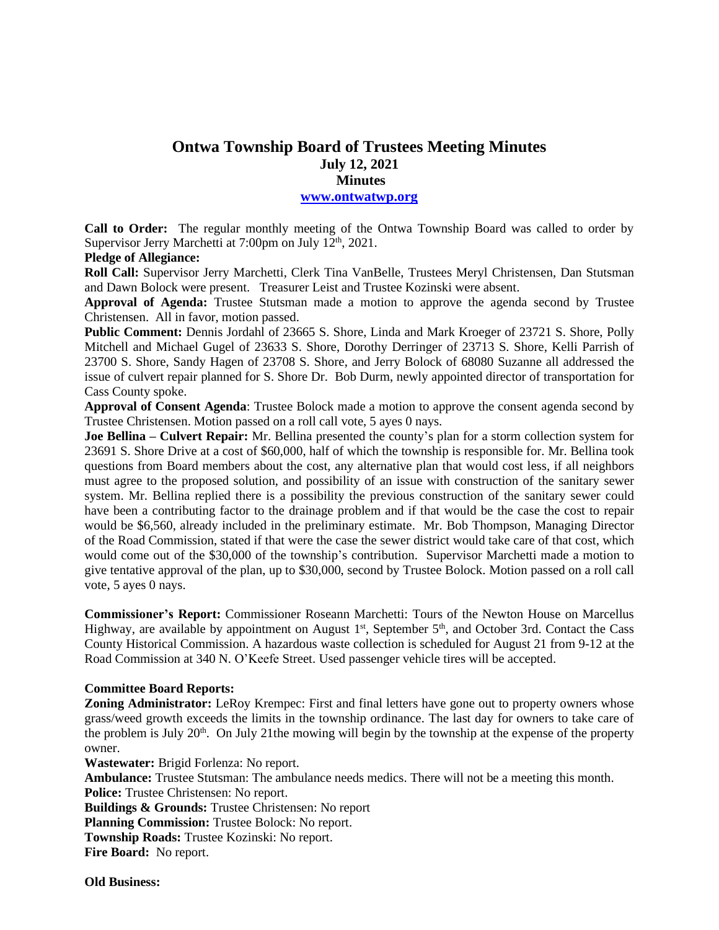# **Ontwa Township Board of Trustees Meeting Minutes July 12, 2021 Minutes**

## **[www.ontwatwp.org](http://www.ontwatwp.org/)**

**Call to Order:** The regular monthly meeting of the Ontwa Township Board was called to order by Supervisor Jerry Marchetti at  $7:00$ pm on July  $12<sup>th</sup>$ , 2021.

# **Pledge of Allegiance:**

**Roll Call:** Supervisor Jerry Marchetti, Clerk Tina VanBelle, Trustees Meryl Christensen, Dan Stutsman and Dawn Bolock were present. Treasurer Leist and Trustee Kozinski were absent.

**Approval of Agenda:** Trustee Stutsman made a motion to approve the agenda second by Trustee Christensen. All in favor, motion passed.

**Public Comment:** Dennis Jordahl of 23665 S. Shore, Linda and Mark Kroeger of 23721 S. Shore, Polly Mitchell and Michael Gugel of 23633 S. Shore, Dorothy Derringer of 23713 S. Shore, Kelli Parrish of 23700 S. Shore, Sandy Hagen of 23708 S. Shore, and Jerry Bolock of 68080 Suzanne all addressed the issue of culvert repair planned for S. Shore Dr. Bob Durm, newly appointed director of transportation for Cass County spoke.

**Approval of Consent Agenda**: Trustee Bolock made a motion to approve the consent agenda second by Trustee Christensen. Motion passed on a roll call vote, 5 ayes 0 nays.

**Joe Bellina – Culvert Repair:** Mr. Bellina presented the county's plan for a storm collection system for 23691 S. Shore Drive at a cost of \$60,000, half of which the township is responsible for. Mr. Bellina took questions from Board members about the cost, any alternative plan that would cost less, if all neighbors must agree to the proposed solution, and possibility of an issue with construction of the sanitary sewer system. Mr. Bellina replied there is a possibility the previous construction of the sanitary sewer could have been a contributing factor to the drainage problem and if that would be the case the cost to repair would be \$6,560, already included in the preliminary estimate. Mr. Bob Thompson, Managing Director of the Road Commission, stated if that were the case the sewer district would take care of that cost, which would come out of the \$30,000 of the township's contribution. Supervisor Marchetti made a motion to give tentative approval of the plan, up to \$30,000, second by Trustee Bolock. Motion passed on a roll call vote, 5 ayes 0 nays.

**Commissioner's Report:** Commissioner Roseann Marchetti: Tours of the Newton House on Marcellus Highway, are available by appointment on August  $1<sup>st</sup>$ , September  $5<sup>th</sup>$ , and October 3rd. Contact the Cass County Historical Commission. A hazardous waste collection is scheduled for August 21 from 9-12 at the Road Commission at 340 N. O'Keefe Street. Used passenger vehicle tires will be accepted.

#### **Committee Board Reports:**

**Zoning Administrator:** LeRoy Krempec: First and final letters have gone out to property owners whose grass/weed growth exceeds the limits in the township ordinance. The last day for owners to take care of the problem is July  $20<sup>th</sup>$ . On July 21the mowing will begin by the township at the expense of the property owner.

**Wastewater:** Brigid Forlenza: No report.

**Ambulance:** Trustee Stutsman: The ambulance needs medics. There will not be a meeting this month. **Police:** Trustee Christensen: No report.

**Buildings & Grounds:** Trustee Christensen: No report

**Planning Commission:** Trustee Bolock: No report.

**Township Roads:** Trustee Kozinski: No report.

**Fire Board:** No report.

**Old Business:**